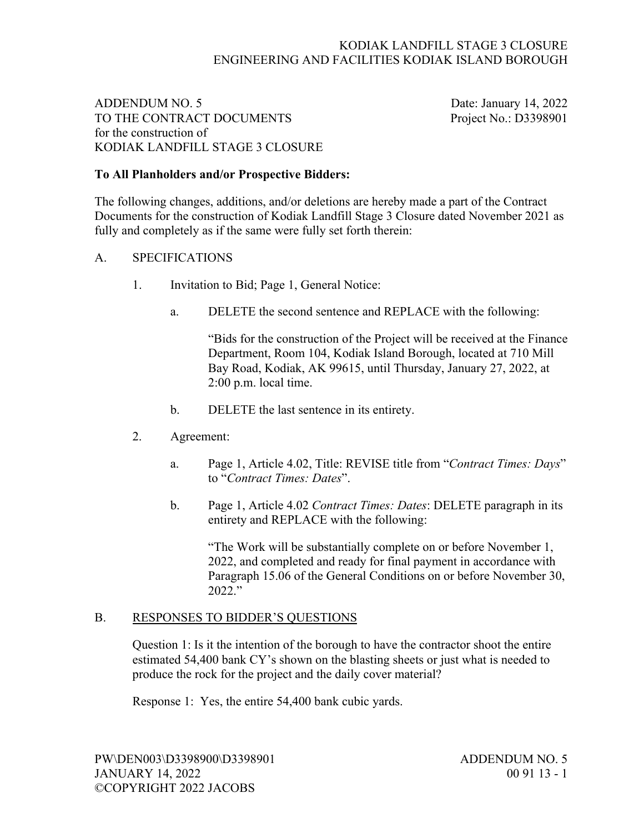### KODIAK LANDFILL STAGE 3 CLOSURE ENGINEERING AND FACILITIES KODIAK ISLAND BOROUGH

# ADDENDUM NO. 5 Date: January 14, 2022 TO THE CONTRACT DOCUMENTS Project No.: D3398901 for the construction of KODIAK LANDFILL STAGE 3 CLOSURE

## **To All Planholders and/or Prospective Bidders:**

The following changes, additions, and/or deletions are hereby made a part of the Contract Documents for the construction of Kodiak Landfill Stage 3 Closure dated November 2021 as fully and completely as if the same were fully set forth therein:

#### A. SPECIFICATIONS

- 1. Invitation to Bid; Page 1, General Notice:
	- a. DELETE the second sentence and REPLACE with the following:

"Bids for the construction of the Project will be received at the Finance Department, Room 104, Kodiak Island Borough, located at 710 Mill Bay Road, Kodiak, AK 99615, until Thursday, January 27, 2022, at 2:00 p.m. local time.

- b. DELETE the last sentence in its entirety.
- 2. Agreement:
	- a. Page 1, Article 4.02, Title: REVISE title from "*Contract Times: Days*" to "*Contract Times: Dates*".
	- b. Page 1, Article 4.02 *Contract Times: Dates*: DELETE paragraph in its entirety and REPLACE with the following:

"The Work will be substantially complete on or before November 1, 2022, and completed and ready for final payment in accordance with Paragraph 15.06 of the General Conditions on or before November 30, 2022."

#### B. RESPONSES TO BIDDER'S QUESTIONS

Question 1: Is it the intention of the borough to have the contractor shoot the entire estimated 54,400 bank CY's shown on the blasting sheets or just what is needed to produce the rock for the project and the daily cover material?

Response 1: Yes, the entire 54,400 bank cubic yards.

PW\DEN003\D3398900\D3398901 ADDENDUM NO. 5 JANUARY 14, 2022 00 91 13 - 1 ©COPYRIGHT 2022 JACOBS